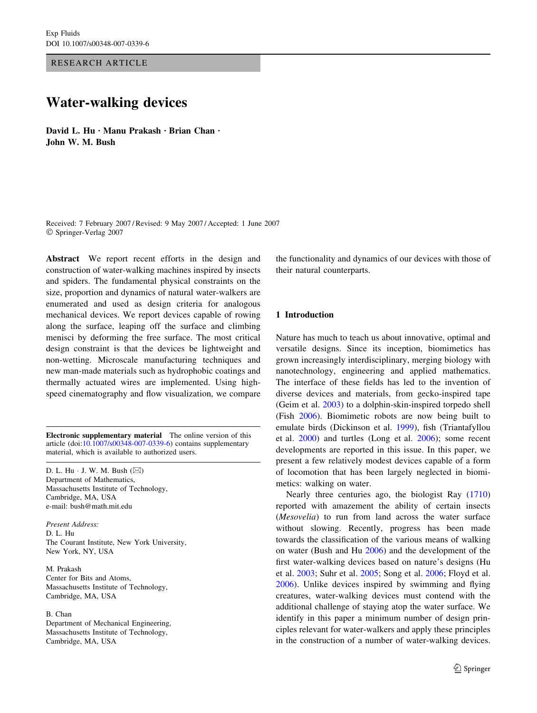RESEARCH ARTICLE

# Water-walking devices

David L. Hu · Manu Prakash · Brian Chan · John W. M. Bush

Received: 7 February 2007 / Revised: 9 May 2007 / Accepted: 1 June 2007 Springer-Verlag 2007

Abstract We report recent efforts in the design and construction of water-walking machines inspired by insects and spiders. The fundamental physical constraints on the size, proportion and dynamics of natural water-walkers are enumerated and used as design criteria for analogous mechanical devices. We report devices capable of rowing along the surface, leaping off the surface and climbing menisci by deforming the free surface. The most critical design constraint is that the devices be lightweight and non-wetting. Microscale manufacturing techniques and new man-made materials such as hydrophobic coatings and thermally actuated wires are implemented. Using highspeed cinematography and flow visualization, we compare

Electronic supplementary material The online version of this article (doi:[10.1007/s00348-007-0339-6\)](http://dx.doi.org/10.1007/s00348-007-0339-6) contains supplementary material, which is available to authorized users.

D. L. Hu  $\cdot$  J. W. M. Bush  $(\boxtimes)$ Department of Mathematics, Massachusetts Institute of Technology, Cambridge, MA, USA e-mail: bush@math.mit.edu

Present Address: D. L. Hu The Courant Institute, New York University, New York, NY, USA

M. Prakash Center for Bits and Atoms, Massachusetts Institute of Technology, Cambridge, MA, USA

#### B. Chan

Department of Mechanical Engineering, Massachusetts Institute of Technology, Cambridge, MA, USA

the functionality and dynamics of our devices with those of their natural counterparts.

#### 1 Introduction

Nature has much to teach us about innovative, optimal and versatile designs. Since its inception, biomimetics has grown increasingly interdisciplinary, merging biology with nanotechnology, engineering and applied mathematics. The interface of these fields has led to the invention of diverse devices and materials, from gecko-inspired tape (Geim et al. [2003](#page-8-0)) to a dolphin-skin-inspired torpedo shell (Fish [2006\)](#page-8-0). Biomimetic robots are now being built to emulate birds (Dickinson et al. [1999](#page-8-0)), fish (Triantafyllou et al. [2000](#page-9-0)) and turtles (Long et al. [2006\)](#page-8-0); some recent developments are reported in this issue. In this paper, we present a few relatively modest devices capable of a form of locomotion that has been largely neglected in biomimetics: walking on water.

Nearly three centuries ago, the biologist Ray ([1710\)](#page-8-0) reported with amazement the ability of certain insects (Mesovelia) to run from land across the water surface without slowing. Recently, progress has been made towards the classification of the various means of walking on water (Bush and Hu [2006](#page-8-0)) and the development of the first water-walking devices based on nature's designs (Hu et al. [2003](#page-8-0); Suhr et al. [2005;](#page-9-0) Song et al. [2006](#page-9-0); Floyd et al. [2006](#page-8-0)). Unlike devices inspired by swimming and flying creatures, water-walking devices must contend with the additional challenge of staying atop the water surface. We identify in this paper a minimum number of design principles relevant for water-walkers and apply these principles in the construction of a number of water-walking devices.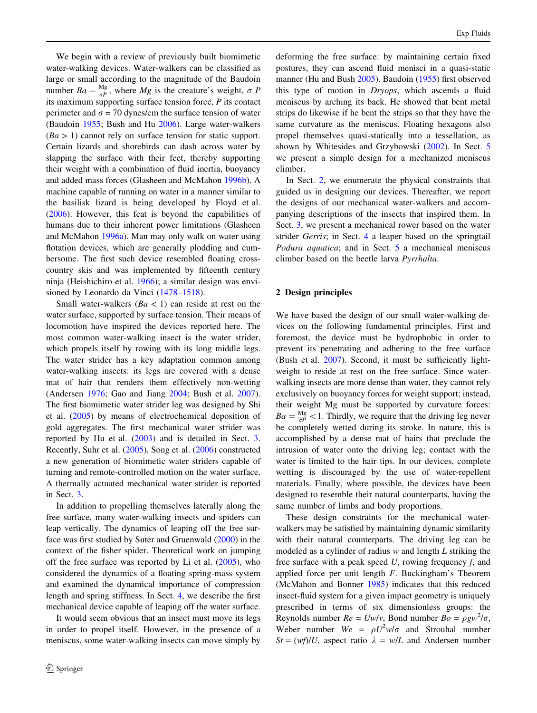We begin with a review of previously built biomimetic water-walking devices. Water-walkers can be classified as large or small according to the magnitude of the Baudoin number  $Ba = \frac{Mg}{\sigma P}$ , where  $Mg$  is the creature's weight,  $\sigma P$ its maximum supporting surface tension force, P its contact perimeter and  $\sigma$  = 70 dynes/cm the surface tension of water (Baudoin [1955;](#page-8-0) Bush and Hu [2006](#page-8-0)). Large water-walkers  $(Ba > 1)$  cannot rely on surface tension for static support. Certain lizards and shorebirds can dash across water by slapping the surface with their feet, thereby supporting their weight with a combination of fluid inertia, buoyancy and added mass forces (Glasheen and McMahon [1996b\)](#page-8-0). A machine capable of running on water in a manner similar to the basilisk lizard is being developed by Floyd et al. [\(2006](#page-8-0)). However, this feat is beyond the capabilities of humans due to their inherent power limitations (Glasheen and McMahon [1996a](#page-8-0)). Man may only walk on water using flotation devices, which are generally plodding and cumbersome. The first such device resembled floating crosscountry skis and was implemented by fifteenth century ninja (Heishichiro et al. [1966\)](#page-8-0); a similar design was envisioned by Leonardo da Vinci [\(1478–1518](#page-8-0)).

Small water-walkers  $(Ba < 1)$  can reside at rest on the water surface, supported by surface tension. Their means of locomotion have inspired the devices reported here. The most common water-walking insect is the water strider, which propels itself by rowing with its long middle legs. The water strider has a key adaptation common among water-walking insects: its legs are covered with a dense mat of hair that renders them effectively non-wetting (Andersen [1976;](#page-8-0) Gao and Jiang [2004;](#page-8-0) Bush et al. [2007](#page-8-0)). The first biomimetic water strider leg was designed by Shi et al. ([2005\)](#page-9-0) by means of electrochemical deposition of gold aggregates. The first mechanical water strider was reported by Hu et al. [\(2003](#page-8-0)) and is detailed in Sect. [3.](#page-2-0) Recently, Suhr et al. [\(2005](#page-9-0)), Song et al. [\(2006](#page-9-0)) constructed a new generation of biomimetic water striders capable of turning and remote-controlled motion on the water surface. A thermally actuated mechanical water strider is reported in Sect. [3](#page-2-0).

In addition to propelling themselves laterally along the free surface, many water-walking insects and spiders can leap vertically. The dynamics of leaping off the free surface was first studied by Suter and Gruenwald ([2000\)](#page-9-0) in the context of the fisher spider. Theoretical work on jumping off the free surface was reported by Li et al.  $(2005)$  $(2005)$ , who considered the dynamics of a floating spring-mass system and examined the dynamical importance of compression length and spring stiffness. In Sect. [4](#page-4-0), we describe the first mechanical device capable of leaping off the water surface.

It would seem obvious that an insect must move its legs in order to propel itself. However, in the presence of a meniscus, some water-walking insects can move simply by deforming the free surface: by maintaining certain fixed postures, they can ascend fluid menisci in a quasi-static manner (Hu and Bush [2005](#page-8-0)). Baudoin [\(1955](#page-8-0)) first observed this type of motion in Dryops, which ascends a fluid meniscus by arching its back. He showed that bent metal strips do likewise if he bent the strips so that they have the same curvature as the meniscus. Floating hexagons also propel themselves quasi-statically into a tessellation, as shown by Whitesides and Grzybowski [\(2002](#page-9-0)). In Sect. [5](#page-5-0) we present a simple design for a mechanized meniscus climber.

In Sect. 2, we enumerate the physical constraints that guided us in designing our devices. Thereafter, we report the designs of our mechanical water-walkers and accompanying descriptions of the insects that inspired them. In Sect. [3,](#page-2-0) we present a mechanical rower based on the water strider Gerris; in Sect. [4](#page-4-0) a leaper based on the springtail Podura aquatica; and in Sect. [5](#page-5-0) a mechanical meniscus climber based on the beetle larva Pyrrhalta.

#### 2 Design principles

We have based the design of our small water-walking devices on the following fundamental principles. First and foremost, the device must be hydrophobic in order to prevent its penetrating and adhering to the free surface (Bush et al. [2007](#page-8-0)). Second, it must be sufficiently lightweight to reside at rest on the free surface. Since waterwalking insects are more dense than water, they cannot rely exclusively on buoyancy forces for weight support; instead, their weight Mg must be supported by curvature forces:  $Ba = \frac{Mg}{\sigma P} < 1$ . Thirdly, we require that the driving leg never be completely wetted during its stroke. In nature, this is accomplished by a dense mat of hairs that preclude the intrusion of water onto the driving leg; contact with the water is limited to the hair tips. In our devices, complete wetting is discouraged by the use of water-repellent materials. Finally, where possible, the devices have been designed to resemble their natural counterparts, having the same number of limbs and body proportions.

These design constraints for the mechanical waterwalkers may be satisfied by maintaining dynamic similarity with their natural counterparts. The driving leg can be modeled as a cylinder of radius  $w$  and length  $L$  striking the free surface with a peak speed  $U$ , rowing frequency  $f$ , and applied force per unit length F. Buckingham's Theorem (McMahon and Bonner [1985](#page-8-0)) indicates that this reduced insect-fluid system for a given impact geometry is uniquely prescribed in terms of six dimensionless groups: the Reynolds number  $Re = Uw/v$ , Bond number  $Bo = \rho g w^2/\sigma$ , Weber number  $We = \rho U^2 w / \sigma$  and Strouhal number  $St = (wf)/U$ , aspect ratio  $\lambda = w/L$  and Andersen number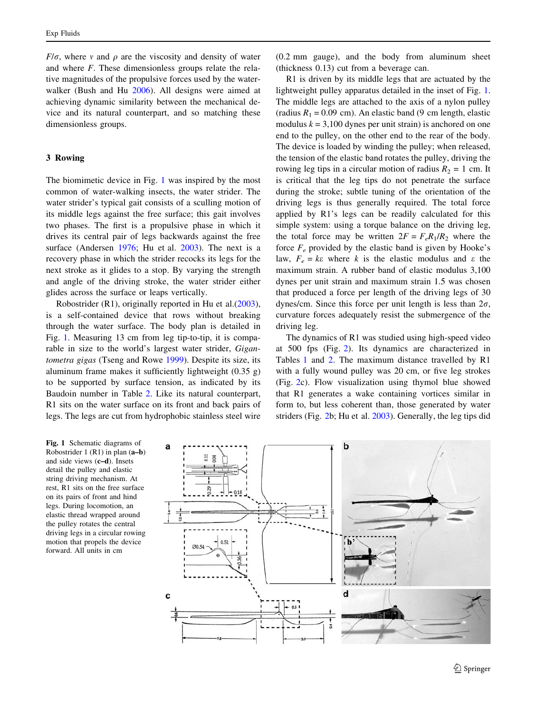<span id="page-2-0"></span> $F/\sigma$ , where v and  $\rho$  are the viscosity and density of water and where F. These dimensionless groups relate the relative magnitudes of the propulsive forces used by the waterwalker (Bush and Hu [2006\)](#page-8-0). All designs were aimed at achieving dynamic similarity between the mechanical device and its natural counterpart, and so matching these dimensionless groups.

## 3 Rowing

The biomimetic device in Fig. 1 was inspired by the most common of water-walking insects, the water strider. The water strider's typical gait consists of a sculling motion of its middle legs against the free surface; this gait involves two phases. The first is a propulsive phase in which it drives its central pair of legs backwards against the free surface (Andersen [1976;](#page-8-0) Hu et al. [2003](#page-8-0)). The next is a recovery phase in which the strider recocks its legs for the next stroke as it glides to a stop. By varying the strength and angle of the driving stroke, the water strider either glides across the surface or leaps vertically.

Robostrider (R1), originally reported in Hu et al.[\(2003](#page-8-0)), is a self-contained device that rows without breaking through the water surface. The body plan is detailed in Fig. 1. Measuring 13 cm from leg tip-to-tip, it is comparable in size to the world's largest water strider, Gigantometra gigas (Tseng and Rowe [1999\)](#page-9-0). Despite its size, its aluminum frame makes it sufficiently lightweight (0.35 g) to be supported by surface tension, as indicated by its Baudoin number in Table [2.](#page-3-0) Like its natural counterpart, R1 sits on the water surface on its front and back pairs of legs. The legs are cut from hydrophobic stainless steel wire

(0.2 mm gauge), and the body from aluminum sheet (thickness 0.13) cut from a beverage can.

R1 is driven by its middle legs that are actuated by the lightweight pulley apparatus detailed in the inset of Fig. 1. The middle legs are attached to the axis of a nylon pulley (radius  $R_1 = 0.09$  cm). An elastic band (9 cm length, elastic modulus  $k = 3,100$  dynes per unit strain) is anchored on one end to the pulley, on the other end to the rear of the body. The device is loaded by winding the pulley; when released, the tension of the elastic band rotates the pulley, driving the rowing leg tips in a circular motion of radius  $R_2 = 1$  cm. It is critical that the leg tips do not penetrate the surface during the stroke; subtle tuning of the orientation of the driving legs is thus generally required. The total force applied by R1's legs can be readily calculated for this simple system: using a torque balance on the driving leg, the total force may be written  $2F = F_e R_1/R_2$  where the force  $F_e$  provided by the elastic band is given by Hooke's law,  $F_e = k\varepsilon$  where k is the elastic modulus and  $\varepsilon$  the maximum strain. A rubber band of elastic modulus 3,100 dynes per unit strain and maximum strain 1.5 was chosen that produced a force per length of the driving legs of 30 dynes/cm. Since this force per unit length is less than  $2\sigma$ , curvature forces adequately resist the submergence of the driving leg.

The dynamics of R1 was studied using high-speed video at 500 fps (Fig. [2](#page-3-0)). Its dynamics are characterized in Tables [1](#page-3-0) and [2](#page-3-0). The maximum distance travelled by R1 with a fully wound pulley was 20 cm, or five leg strokes (Fig. [2c](#page-3-0)). Flow visualization using thymol blue showed that R1 generates a wake containing vortices similar in form to, but less coherent than, those generated by water striders (Fig. [2](#page-3-0)b; Hu et al. [2003\)](#page-8-0). Generally, the leg tips did

Fig. 1 Schematic diagrams of Robostrider 1 (R1) in plan (a–b) and side views (c–d). Insets detail the pulley and elastic string driving mechanism. At rest, R1 sits on the free surface on its pairs of front and hind legs. During locomotion, an elastic thread wrapped around the pulley rotates the central driving legs in a circular rowing motion that propels the device forward. All units in cm

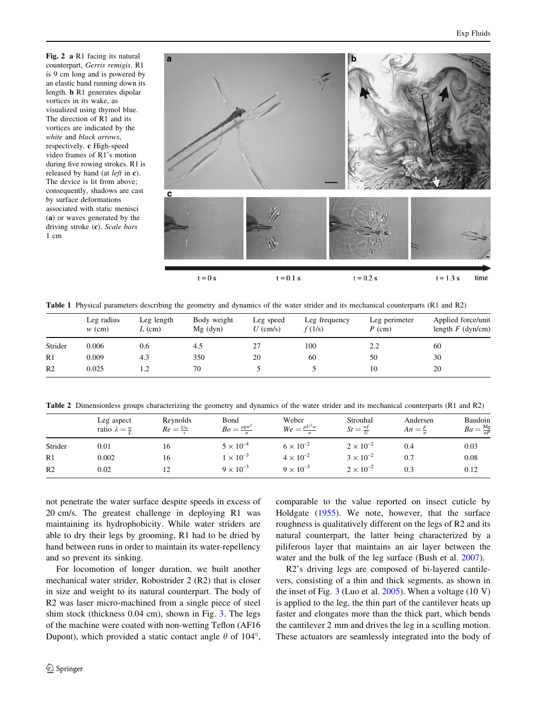<span id="page-3-0"></span>Fig. 2 a R1 facing its natural counterpart, Gerris remigis. R1 is 9 cm long and is powered by an elastic band running down its length. b R1 generates dipolar vortices in its wake, as visualized using thymol blue. The direction of R1 and its vortices are indicated by the white and black arrows, respectively. c High-speed video frames of R1's motion during five rowing strokes. R1 is released by hand (at left in c). The device is lit from above; consequently, shadows are cast by surface deformations associated with static menisci (a) or waves generated by the driving stroke (c). Scale bars 1 cm



Table 1 Physical parameters describing the geometry and dynamics of the water strider and its mechanical counterparts (R1 and R2)

|                | Leg radius<br>$w$ (cm) | Leg length<br>$L$ (cm) | Body weight<br>$Mg$ (dyn) | Leg speed<br>$U$ (cm/s) | Leg frequency<br>f(1/s) | Leg perimeter<br>$P$ (cm) | Applied force/unit<br>length $F$ (dyn/cm) |
|----------------|------------------------|------------------------|---------------------------|-------------------------|-------------------------|---------------------------|-------------------------------------------|
| Strider        | 0.006                  | 0.6                    |                           |                         | 100                     | 2.2                       | 60                                        |
| R1             | 0.009                  | 4.3                    | 350                       | 20                      | 60                      | 50                        | 30                                        |
| R <sub>2</sub> | 0.025                  | 1.2                    | 70                        |                         |                         | 10                        | 20                                        |

Table 2 Dimensionless groups characterizing the geometry and dynamics of the water strider and its mechanical counterparts (R1 and R2)

|                | Leg aspect<br>ratio $\lambda = \frac{w}{r}$ | Reynolds<br>$Re = \frac{Uw}{R}$ | Bond<br>$Bo = \frac{\rho g w^2}{r}$ | Weber<br>$We = \frac{\rho U^2 w}{\sigma}$ | Strouhal<br>$St = \frac{wt}{U}$ | Andersen<br>$An = \frac{r}{r}$ | Baudoin<br>$Ba = \frac{Mg}{\sigma P}$ |
|----------------|---------------------------------------------|---------------------------------|-------------------------------------|-------------------------------------------|---------------------------------|--------------------------------|---------------------------------------|
| Strider        | 0.01                                        | 16                              | $5 \times 10^{-4}$                  | $6 \times 10^{-2}$                        | $2 \times 10^{-2}$              | 0.4                            | 0.03                                  |
| R1             | 0.002                                       | 16                              | $1 \times 10^{-3}$                  | $4 \times 10^{-2}$                        | $3 \times 10^{-2}$              | 0.7                            | 0.08                                  |
| R <sub>2</sub> | 0.02                                        | 12                              | $9 \times 10^{-3}$                  | $9 \times 10^{-3}$                        | $2 \times 10^{-2}$              | 0.3                            | 0.12                                  |

not penetrate the water surface despite speeds in excess of 20 cm/s. The greatest challenge in deploying R1 was maintaining its hydrophobicity. While water striders are able to dry their legs by grooming, R1 had to be dried by hand between runs in order to maintain its water-repellency and so prevent its sinking.

For locomotion of longer duration, we built another mechanical water strider, Robostrider 2 (R2) that is closer in size and weight to its natural counterpart. The body of R2 was laser micro-machined from a single piece of steel shim stock (thickness 0.04 cm), shown in Fig. [3](#page-4-0). The legs of the machine were coated with non-wetting Teflon (AF16 Dupont), which provided a static contact angle  $\theta$  of 104°,

comparable to the value reported on insect cuticle by Holdgate ([1955\)](#page-8-0). We note, however, that the surface roughness is qualitatively different on the legs of R2 and its natural counterpart, the latter being characterized by a piliferous layer that maintains an air layer between the water and the bulk of the leg surface (Bush et al. [2007](#page-8-0)).

R2's driving legs are composed of bi-layered cantilevers, consisting of a thin and thick segments, as shown in the inset of Fig.  $3$  (Luo et al. [2005\)](#page-8-0). When a voltage (10 V) is applied to the leg, the thin part of the cantilever heats up faster and elongates more than the thick part, which bends the cantilever 2 mm and drives the leg in a sculling motion. These actuators are seamlessly integrated into the body of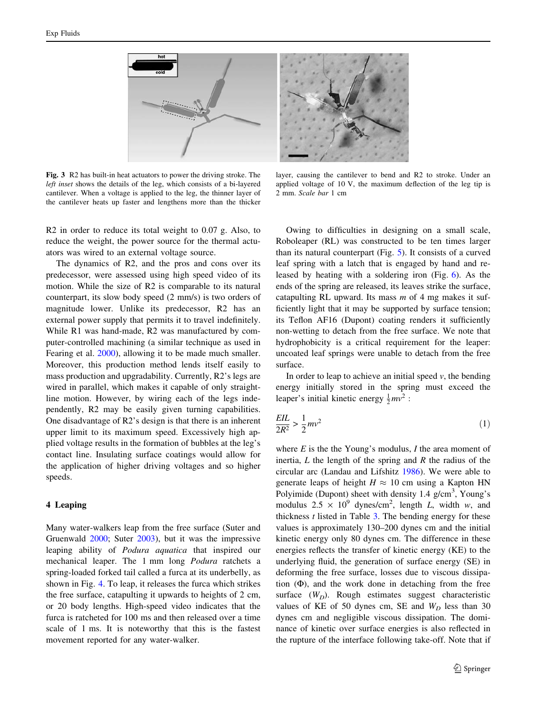<span id="page-4-0"></span>

Fig. 3 R2 has built-in heat actuators to power the driving stroke. The left inset shows the details of the leg, which consists of a bi-layered cantilever. When a voltage is applied to the leg, the thinner layer of the cantilever heats up faster and lengthens more than the thicker

R2 in order to reduce its total weight to 0.07 g. Also, to reduce the weight, the power source for the thermal actuators was wired to an external voltage source.

The dynamics of R2, and the pros and cons over its predecessor, were assessed using high speed video of its motion. While the size of R2 is comparable to its natural counterpart, its slow body speed (2 mm/s) is two orders of magnitude lower. Unlike its predecessor, R2 has an external power supply that permits it to travel indefinitely. While R1 was hand-made, R2 was manufactured by computer-controlled machining (a similar technique as used in Fearing et al. [2000](#page-8-0)), allowing it to be made much smaller. Moreover, this production method lends itself easily to mass production and upgradability. Currently, R2's legs are wired in parallel, which makes it capable of only straightline motion. However, by wiring each of the legs independently, R2 may be easily given turning capabilities. One disadvantage of R2's design is that there is an inherent upper limit to its maximum speed. Excessively high applied voltage results in the formation of bubbles at the leg's contact line. Insulating surface coatings would allow for the application of higher driving voltages and so higher speeds.

## 4 Leaping

Many water-walkers leap from the free surface (Suter and Gruenwald [2000;](#page-9-0) Suter [2003](#page-9-0)), but it was the impressive leaping ability of Podura aquatica that inspired our mechanical leaper. The 1 mm long Podura ratchets a spring-loaded forked tail called a furca at its underbelly, as shown in Fig. [4](#page-5-0). To leap, it releases the furca which strikes the free surface, catapulting it upwards to heights of 2 cm, or 20 body lengths. High-speed video indicates that the furca is ratcheted for 100 ms and then released over a time scale of 1 ms. It is noteworthy that this is the fastest movement reported for any water-walker.

layer, causing the cantilever to bend and R2 to stroke. Under an applied voltage of 10 V, the maximum deflection of the leg tip is 2 mm. Scale bar 1 cm

Owing to difficulties in designing on a small scale, Roboleaper (RL) was constructed to be ten times larger than its natural counterpart (Fig. [5\)](#page-5-0). It consists of a curved leaf spring with a latch that is engaged by hand and released by heating with a soldering iron (Fig. [6\)](#page-6-0). As the ends of the spring are released, its leaves strike the surface, catapulting RL upward. Its mass  $m$  of 4 mg makes it sufficiently light that it may be supported by surface tension; its Teflon AF16 (Dupont) coating renders it sufficiently non-wetting to detach from the free surface. We note that hydrophobicity is a critical requirement for the leaper: uncoated leaf springs were unable to detach from the free surface.

In order to leap to achieve an initial speed  $v$ , the bending energy initially stored in the spring must exceed the leaper's initial kinetic energy  $\frac{1}{2}mv^2$ :

$$
\frac{EIL}{2R^2} > \frac{1}{2}mv^2\tag{1}
$$

where  $E$  is the the Young's modulus,  $I$  the area moment of inertia,  $L$  the length of the spring and  $R$  the radius of the circular arc (Landau and Lifshitz [1986](#page-8-0)). We were able to generate leaps of height  $H \approx 10$  cm using a Kapton HN Polyimide (Dupont) sheet with density  $1.4$  g/cm<sup>3</sup>, Young's modulus  $2.5 \times 10^9$  dynes/cm<sup>2</sup>, length *L*, width *w*, and thickness  $t$  listed in Table  $3$ . The bending energy for these values is approximately 130–200 dynes cm and the initial kinetic energy only 80 dynes cm. The difference in these energies reflects the transfer of kinetic energy (KE) to the underlying fluid, the generation of surface energy (SE) in deforming the free surface, losses due to viscous dissipation  $(\Phi)$ , and the work done in detaching from the free surface  $(W_D)$ . Rough estimates suggest characteristic values of KE of 50 dynes cm, SE and  $W_D$  less than 30 dynes cm and negligible viscous dissipation. The dominance of kinetic over surface energies is also reflected in the rupture of the interface following take-off. Note that if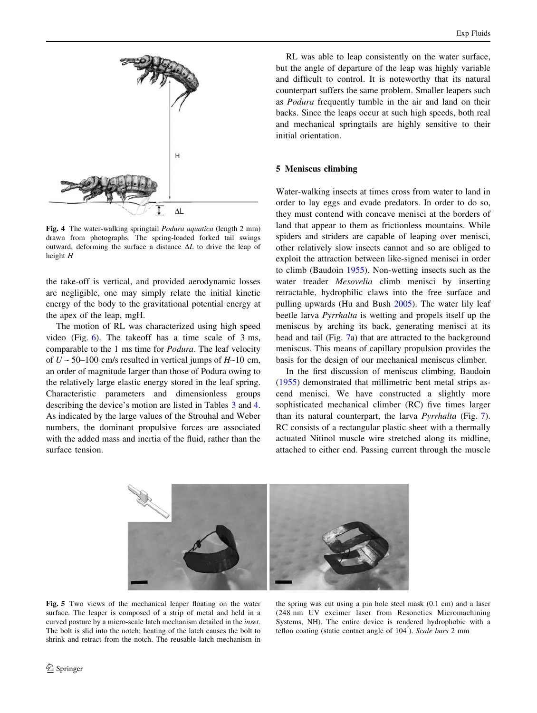<span id="page-5-0"></span>

Fig. 4 The water-walking springtail Podura aquatica (length 2 mm) drawn from photographs. The spring-loaded forked tail swings outward, deforming the surface a distance  $\Delta L$  to drive the leap of height H

the take-off is vertical, and provided aerodynamic losses are negligible, one may simply relate the initial kinetic energy of the body to the gravitational potential energy at the apex of the leap, mgH.

The motion of RL was characterized using high speed video (Fig. [6\)](#page-6-0). The takeoff has a time scale of 3 ms, comparable to the 1 ms time for Podura. The leaf velocity of  $U \sim 50{\text -}100$  cm/s resulted in vertical jumps of  $H \sim 10$  cm, an order of magnitude larger than those of Podura owing to the relatively large elastic energy stored in the leaf spring. Characteristic parameters and dimensionless groups describing the device's motion are listed in Tables [3](#page-6-0) and [4.](#page-6-0) As indicated by the large values of the Strouhal and Weber numbers, the dominant propulsive forces are associated with the added mass and inertia of the fluid, rather than the surface tension.

RL was able to leap consistently on the water surface, but the angle of departure of the leap was highly variable and difficult to control. It is noteworthy that its natural counterpart suffers the same problem. Smaller leapers such as Podura frequently tumble in the air and land on their backs. Since the leaps occur at such high speeds, both real and mechanical springtails are highly sensitive to their initial orientation.

### 5 Meniscus climbing

Water-walking insects at times cross from water to land in order to lay eggs and evade predators. In order to do so, they must contend with concave menisci at the borders of land that appear to them as frictionless mountains. While spiders and striders are capable of leaping over menisci, other relatively slow insects cannot and so are obliged to exploit the attraction between like-signed menisci in order to climb (Baudoin [1955](#page-8-0)). Non-wetting insects such as the water treader *Mesovelia* climb menisci by inserting retractable, hydrophilic claws into the free surface and pulling upwards (Hu and Bush [2005](#page-8-0)). The water lily leaf beetle larva Pyrrhalta is wetting and propels itself up the meniscus by arching its back, generating menisci at its head and tail (Fig. [7a](#page-6-0)) that are attracted to the background meniscus. This means of capillary propulsion provides the basis for the design of our mechanical meniscus climber.

In the first discussion of meniscus climbing, Baudoin [\(1955](#page-8-0)) demonstrated that millimetric bent metal strips ascend menisci. We have constructed a slightly more sophisticated mechanical climber (RC) five times larger than its natural counterpart, the larva Pyrrhalta (Fig. [7](#page-6-0)). RC consists of a rectangular plastic sheet with a thermally actuated Nitinol muscle wire stretched along its midline, attached to either end. Passing current through the muscle



Fig. 5 Two views of the mechanical leaper floating on the water surface. The leaper is composed of a strip of metal and held in a curved posture by a micro-scale latch mechanism detailed in the inset. The bolt is slid into the notch; heating of the latch causes the bolt to shrink and retract from the notch. The reusable latch mechanism in

the spring was cut using a pin hole steel mask (0.1 cm) and a laser (248 nm UV excimer laser from Resonetics Micromachining Systems, NH). The entire device is rendered hydrophobic with a teflon coating (static contact angle of 104°). Scale bars 2 mm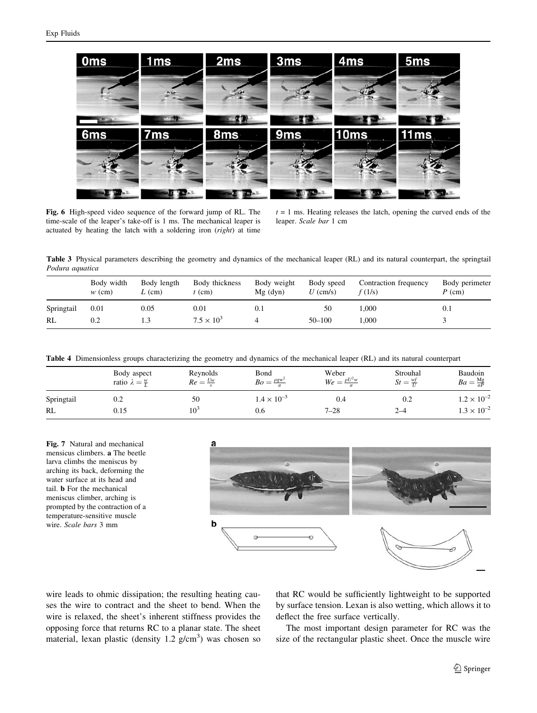<span id="page-6-0"></span>

Fig. 6 High-speed video sequence of the forward jump of RL. The time-scale of the leaper's take-off is 1 ms. The mechanical leaper is actuated by heating the latch with a soldering iron (right) at time

 $t = 1$  ms. Heating releases the latch, opening the curved ends of the leaper. Scale bar 1 cm

Table 3 Physical parameters describing the geometry and dynamics of the mechanical leaper (RL) and its natural counterpart, the springtail Podura aquatica

|            | Body width<br>$w$ (cm) | Body length<br>$L$ (cm) | Body thickness<br>(cm) | Body weight<br>$Mg$ (dyn) | Body speed<br>$U$ (cm/s) | Contraction frequency<br>f(1/s) | Body perimeter<br>$P$ (cm) |
|------------|------------------------|-------------------------|------------------------|---------------------------|--------------------------|---------------------------------|----------------------------|
| Springtail | 0.01                   | 0.05                    | 0.01                   | U. I                      | 50                       | 000.1                           | 0.1                        |
| RL         | 0.2                    | 1.3                     | $7.5 \times 10^{3}$    |                           | $50 - 100$               | 000.1                           |                            |

Table 4 Dimensionless groups characterizing the geometry and dynamics of the mechanical leaper (RL) and its natural counterpart

|            | Body aspect<br>ratio $\lambda = \frac{w}{r}$ | Reynolds<br>$Re = \frac{Uw}{A}$ | Bond<br>$Bo = \frac{\rho g w^2}{2}$ | Weber<br>$\rho U^2 w$<br>$We = \frac{1}{2}$ | Strouhal<br>$St =$ | Baudoin<br>$Ba = \frac{Mg}{\sigma P}$ |
|------------|----------------------------------------------|---------------------------------|-------------------------------------|---------------------------------------------|--------------------|---------------------------------------|
| Springtail | 0.2                                          | 50                              | $1.4 \times 10^{-3}$                | 0.4                                         | 0.2                | $1.2 \times 10^{-2}$                  |
| RL         | 0.15                                         | $10^2$                          | 0.6                                 | $7 - 28$                                    | 2–4                | $.3 \times 10^{-2}$                   |

Fig. 7 Natural and mechanical mensicus climbers. a The beetle larva climbs the meniscus by arching its back, deforming the water surface at its head and tail. b For the mechanical meniscus climber, arching is prompted by the contraction of a temperature-sensitive muscle wire. Scale bars 3 mm



wire leads to ohmic dissipation; the resulting heating causes the wire to contract and the sheet to bend. When the wire is relaxed, the sheet's inherent stiffness provides the opposing force that returns RC to a planar state. The sheet material, lexan plastic (density  $1.2$  g/cm<sup>3</sup>) was chosen so

that RC would be sufficiently lightweight to be supported by surface tension. Lexan is also wetting, which allows it to deflect the free surface vertically.

The most important design parameter for RC was the size of the rectangular plastic sheet. Once the muscle wire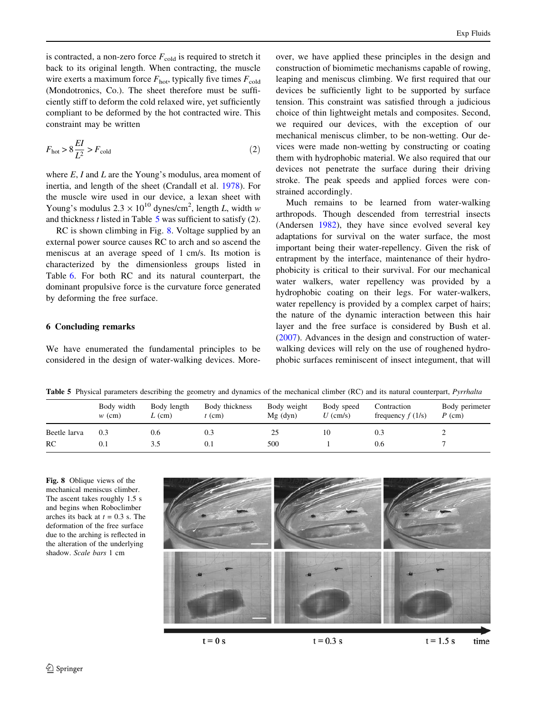is contracted, a non-zero force  $F_{\text{cold}}$  is required to stretch it back to its original length. When contracting, the muscle wire exerts a maximum force  $F_{\text{hot}}$ , typically five times  $F_{\text{cold}}$ (Mondotronics, Co.). The sheet therefore must be sufficiently stiff to deform the cold relaxed wire, yet sufficiently compliant to be deformed by the hot contracted wire. This constraint may be written

$$
F_{\text{hot}} > 8 \frac{EI}{L^2} > F_{\text{cold}} \tag{2}
$$

where  $E$ , I and L are the Young's modulus, area moment of inertia, and length of the sheet (Crandall et al. [1978](#page-8-0)). For the muscle wire used in our device, a lexan sheet with Young's modulus  $2.3 \times 10^{10}$  dynes/cm<sup>2</sup>, length *L*, width w and thickness  $t$  listed in Table 5 was sufficient to satisfy (2).

RC is shown climbing in Fig. 8. Voltage supplied by an external power source causes RC to arch and so ascend the meniscus at an average speed of 1 cm/s. Its motion is characterized by the dimensionless groups listed in Table [6](#page-8-0). For both RC and its natural counterpart, the dominant propulsive force is the curvature force generated by deforming the free surface.

## 6 Concluding remarks

We have enumerated the fundamental principles to be considered in the design of water-walking devices. Moreover, we have applied these principles in the design and construction of biomimetic mechanisms capable of rowing, leaping and meniscus climbing. We first required that our devices be sufficiently light to be supported by surface tension. This constraint was satisfied through a judicious choice of thin lightweight metals and composites. Second, we required our devices, with the exception of our mechanical meniscus climber, to be non-wetting. Our devices were made non-wetting by constructing or coating them with hydrophobic material. We also required that our devices not penetrate the surface during their driving stroke. The peak speeds and applied forces were constrained accordingly.

Much remains to be learned from water-walking arthropods. Though descended from terrestrial insects (Andersen [1982](#page-8-0)), they have since evolved several key adaptations for survival on the water surface, the most important being their water-repellency. Given the risk of entrapment by the interface, maintenance of their hydrophobicity is critical to their survival. For our mechanical water walkers, water repellency was provided by a hydrophobic coating on their legs. For water-walkers, water repellency is provided by a complex carpet of hairs; the nature of the dynamic interaction between this hair layer and the free surface is considered by Bush et al. [\(2007](#page-8-0)). Advances in the design and construction of waterwalking devices will rely on the use of roughened hydrophobic surfaces reminiscent of insect integument, that will

Table 5 Physical parameters describing the geometry and dynamics of the mechanical climber (RC) and its natural counterpart, *Pyrrhalta* 

|              | Body width<br>$w$ (cm) | Body length<br>$L$ (cm) | Body thickness<br>$\text{(cm)}$ | Body weight<br>$Mg$ (dyn) | Body speed<br>$U$ (cm/s) | Contraction<br>frequency $f(1/s)$ | Body perimeter<br>$P$ (cm) |
|--------------|------------------------|-------------------------|---------------------------------|---------------------------|--------------------------|-----------------------------------|----------------------------|
| Beetle larva | 0.3                    | 0.6                     | U.E                             | 25                        |                          | 0.3                               |                            |
| RC           | U.I                    |                         | 0.1                             | 500                       |                          | 0.6                               |                            |

Fig. 8 Oblique views of the mechanical meniscus climber. The ascent takes roughly 1.5 s and begins when Roboclimber arches its back at  $t = 0.3$  s. The deformation of the free surface due to the arching is reflected in the alteration of the underlying shadow. Scale bars 1 cm



 $t = 0$  s

 $t = 0.3 s$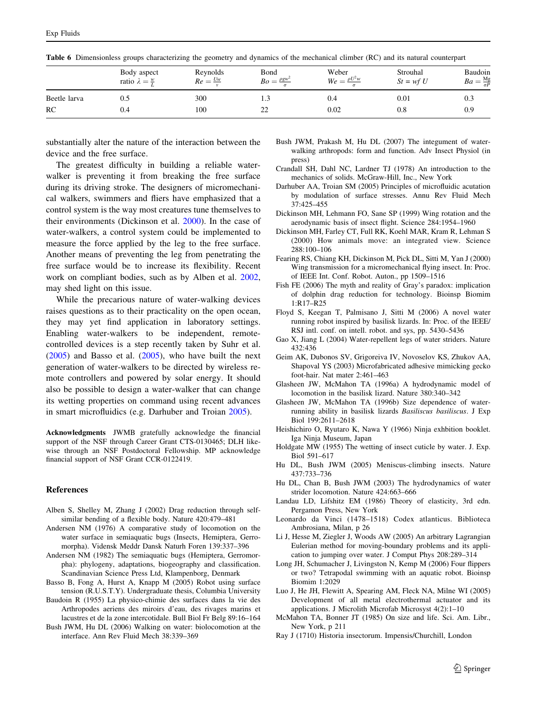|              | Body aspect<br>ratio $\lambda = \frac{w}{r}$ | Reynolds<br>$Re = \frac{U_w}{v}$ | Bond<br>$Bo = \frac{\rho g w^2}{2}$ | Weber<br>$We = \frac{\rho U^2 w}{\sigma}$ | Strouhal<br>$St = wf U$ | Baudoin<br>$Ba = \frac{Mg}{\sigma P}$ |
|--------------|----------------------------------------------|----------------------------------|-------------------------------------|-------------------------------------------|-------------------------|---------------------------------------|
| Beetle larva | U.J                                          | 300                              | ر                                   | 0.4                                       | 0.01                    | 0.3                                   |
| RC           | 0.4                                          | 100                              | ∸                                   | 0.02                                      | $_{0.8}$                | 0.9                                   |

<span id="page-8-0"></span>Table 6 Dimensionless groups characterizing the geometry and dynamics of the mechanical climber (RC) and its natural counterpart

substantially alter the nature of the interaction between the device and the free surface.

The greatest difficulty in building a reliable waterwalker is preventing it from breaking the free surface during its driving stroke. The designers of micromechanical walkers, swimmers and fliers have emphasized that a control system is the way most creatures tune themselves to their environments (Dickinson et al. 2000). In the case of water-walkers, a control system could be implemented to measure the force applied by the leg to the free surface. Another means of preventing the leg from penetrating the free surface would be to increase its flexibility. Recent work on compliant bodies, such as by Alben et al. 2002, may shed light on this issue.

While the precarious nature of water-walking devices raises questions as to their practicality on the open ocean, they may yet find application in laboratory settings. Enabling water-walkers to be independent, remotecontrolled devices is a step recently taken by Suhr et al.  $(2005)$  $(2005)$  and Basso et al.  $(2005)$ , who have built the next generation of water-walkers to be directed by wireless remote controllers and powered by solar energy. It should also be possible to design a water-walker that can change its wetting properties on command using recent advances in smart microfluidics (e.g. Darhuber and Troian 2005).

Acknowledgments JWMB gratefully acknowledge the financial support of the NSF through Career Grant CTS-0130465; DLH likewise through an NSF Postdoctoral Fellowship. MP acknowledge financial support of NSF Grant CCR-0122419.

#### References

- Alben S, Shelley M, Zhang J (2002) Drag reduction through selfsimilar bending of a flexible body. Nature 420:479–481
- Andersen NM (1976) A comparative study of locomotion on the water surface in semiaquatic bugs (Insects, Hemiptera, Gerromorpha). Vidensk Meddr Dansk Naturh Foren 139:337–396
- Andersen NM (1982) The semiaquatic bugs (Hemiptera, Gerromorpha): phylogeny, adaptations, biogeography and classification. Scandinavian Science Press Ltd, Klampenborg, Denmark
- Basso B, Fong A, Hurst A, Knapp M (2005) Robot using surface tension (R.U.S.T.Y). Undergraduate thesis, Columbia University
- Baudoin R (1955) La physico-chimie des surfaces dans la vie des Arthropodes aeriens des miroirs d'eau, des rivages marins et lacustres et de la zone intercotidale. Bull Biol Fr Belg 89:16–164
- Bush JWM, Hu DL (2006) Walking on water: biolocomotion at the interface. Ann Rev Fluid Mech 38:339–369
- Bush JWM, Prakash M, Hu DL (2007) The integument of waterwalking arthropods: form and function. Adv Insect Physiol (in press)
- Crandall SH, Dahl NC, Lardner TJ (1978) An introduction to the mechanics of solids. McGraw-Hill, Inc., New York
- Darhuber AA, Troian SM (2005) Principles of microfluidic acutation by modulation of surface stresses. Annu Rev Fluid Mech 37:425–455
- Dickinson MH, Lehmann FO, Sane SP (1999) Wing rotation and the aerodynamic basis of insect flight. Science 284:1954–1960
- Dickinson MH, Farley CT, Full RK, Koehl MAR, Kram R, Lehman S (2000) How animals move: an integrated view. Science 288:100–106
- Fearing RS, Chiang KH, Dickinson M, Pick DL, Sitti M, Yan J (2000) Wing transmission for a micromechanical flying insect. In: Proc. of IEEE Int. Conf. Robot. Auton., pp 1509–1516
- Fish FE (2006) The myth and reality of Gray's paradox: implication of dolphin drag reduction for technology. Bioinsp Biomim 1:R17–R25
- Floyd S, Keegan T, Palmisano J, Sitti M (2006) A novel water running robot inspired by basilisk lizards. In: Proc. of the IEEE/ RSJ intl. conf. on intell. robot. and sys, pp. 5430–5436
- Gao X, Jiang L (2004) Water-repellent legs of water striders. Nature 432:436
- Geim AK, Dubonos SV, Grigoreiva IV, Novoselov KS, Zhukov AA, Shapoval YS (2003) Microfabricated adhesive mimicking gecko foot-hair. Nat mater 2:461–463
- Glasheen JW, McMahon TA (1996a) A hydrodynamic model of locomotion in the basilisk lizard. Nature 380:340–342
- Glasheen JW, McMahon TA (1996b) Size dependence of waterrunning ability in basilisk lizards Basiliscus basiliscus. J Exp Biol 199:2611–2618
- Heishichiro O, Ryutaro K, Nawa Y (1966) Ninja exhbition booklet. Iga Ninja Museum, Japan
- Holdgate MW (1955) The wetting of insect cuticle by water. J. Exp. Biol 591–617
- Hu DL, Bush JWM (2005) Meniscus-climbing insects. Nature 437:733–736
- Hu DL, Chan B, Bush JWM (2003) The hydrodynamics of water strider locomotion. Nature 424:663–666
- Landau LD, Lifshitz EM (1986) Theory of elasticity, 3rd edn. Pergamon Press, New York
- Leonardo da Vinci (1478–1518) Codex atlanticus. Biblioteca Ambrosiana, Milan, p 26
- Li J, Hesse M, Ziegler J, Woods AW (2005) An arbitrary Lagrangian Eulerian method for moving-boundary problems and its application to jumping over water. J Comput Phys 208:289–314
- Long JH, Schumacher J, Livingston N, Kemp M (2006) Four flippers or two? Tetrapodal swimming with an aquatic robot. Bioinsp Biomim 1:2029
- Luo J, He JH, Flewitt A, Spearing AM, Fleck NA, Milne WI (2005) Development of all metal electrothermal actuator and its applications. J Microlith Microfab Microsyst 4(2):1–10
- McMahon TA, Bonner JT (1985) On size and life. Sci. Am. Libr., New York, p 211
- Ray J (1710) Historia insectorum. Impensis/Churchill, London